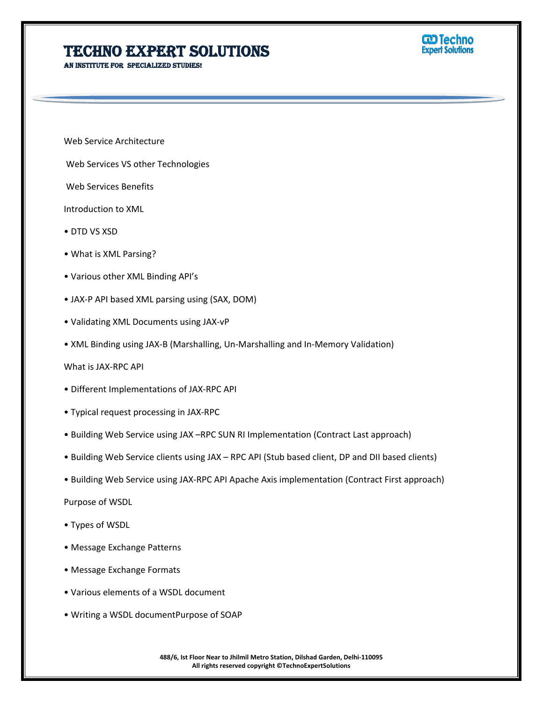## **Techno Expert Solutions**

**An institute for specialized studies!**



Web Service Architecture

Web Services VS other Technologies

Web Services Benefits

Introduction to XML

- DTD VS XSD
- What is XML Parsing?
- Various other XML Binding API's
- JAX-P API based XML parsing using (SAX, DOM)
- Validating XML Documents using JAX-vP
- XML Binding using JAX-B (Marshalling, Un-Marshalling and In-Memory Validation)

What is JAX-RPC API

- Different Implementations of JAX-RPC API
- Typical request processing in JAX-RPC
- Building Web Service using JAX –RPC SUN RI Implementation (Contract Last approach)
- Building Web Service clients using JAX RPC API (Stub based client, DP and DII based clients)
- Building Web Service using JAX-RPC API Apache Axis implementation (Contract First approach)

Purpose of WSDL

- Types of WSDL
- Message Exchange Patterns
- Message Exchange Formats
- Various elements of a WSDL document
- Writing a WSDL documentPurpose of SOAP

**488/6, Ist Floor Near to Jhilmil Metro Station, Dilshad Garden, Delhi-110095 All rights reserved copyright ©TechnoExpertSolutions**